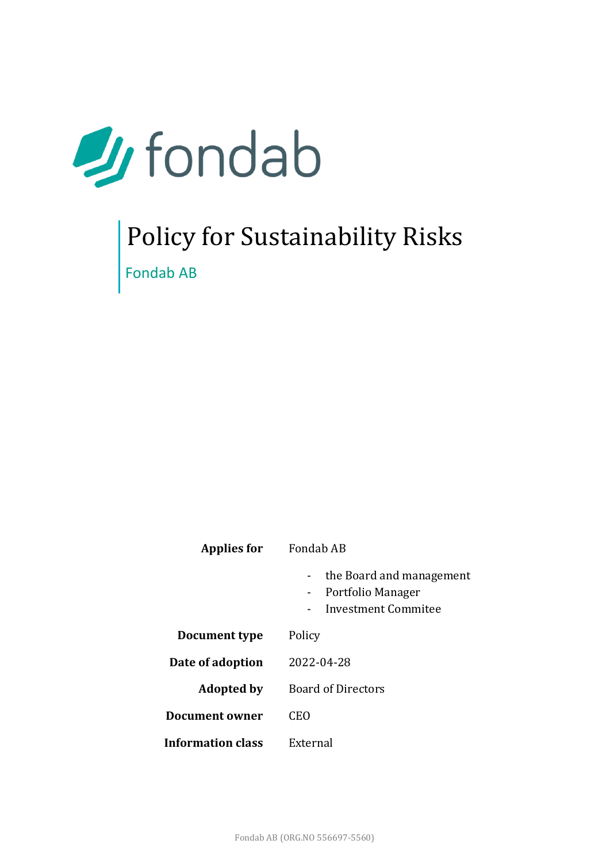

# Policy for Sustainability Risks Fondab AB

| <b>Applies for</b>       | Fondab AB                                                                                                          |  |  |
|--------------------------|--------------------------------------------------------------------------------------------------------------------|--|--|
|                          | the Board and management<br>Portfolio Manager<br>$\blacksquare$<br>Investment Commitee<br>$\overline{\phantom{a}}$ |  |  |
| Document type            | Policy                                                                                                             |  |  |
| Date of adoption         | 2022-04-28                                                                                                         |  |  |
| <b>Adopted by</b>        | <b>Board of Directors</b>                                                                                          |  |  |
| <b>Document owner</b>    | CEO                                                                                                                |  |  |
| <b>Information class</b> | External                                                                                                           |  |  |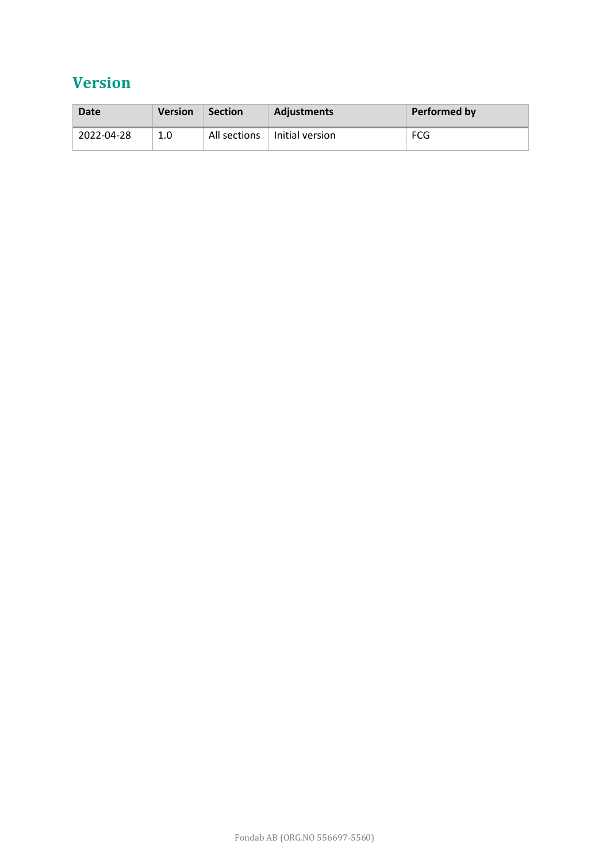# **Version**

| Date       | <b>Version</b> | <b>Section</b> | <b>Adiustments</b> | Performed by |
|------------|----------------|----------------|--------------------|--------------|
| 2022-04-28 | 1.0            | All sections   | l Initial version  | FCG          |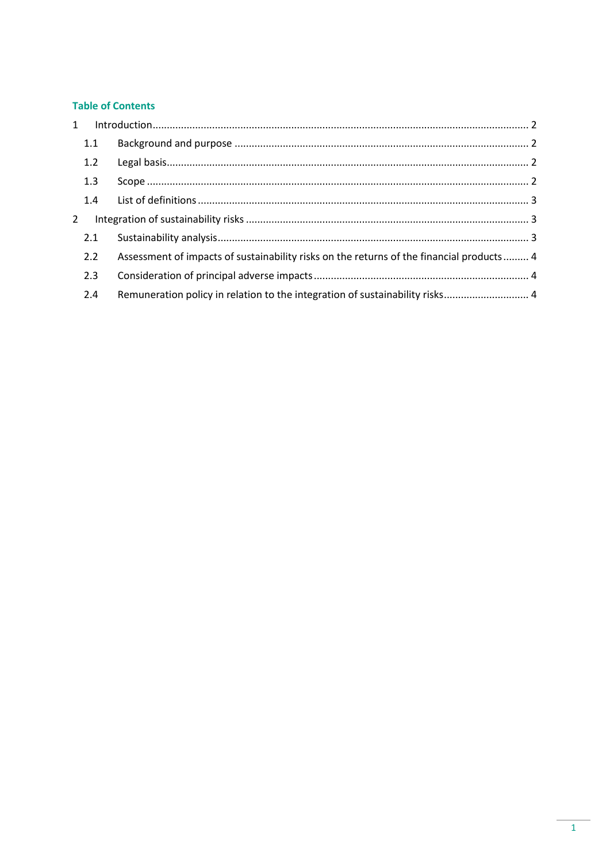#### **Table of Contents**

|               | 1.1 |                                                                                           |  |
|---------------|-----|-------------------------------------------------------------------------------------------|--|
|               | 1.2 |                                                                                           |  |
|               | 1.3 |                                                                                           |  |
|               | 1.4 |                                                                                           |  |
| $\mathcal{L}$ |     |                                                                                           |  |
|               | 2.1 |                                                                                           |  |
|               | 2.2 | Assessment of impacts of sustainability risks on the returns of the financial products  4 |  |
|               | 2.3 |                                                                                           |  |
|               | 2.4 | Remuneration policy in relation to the integration of sustainability risks 4              |  |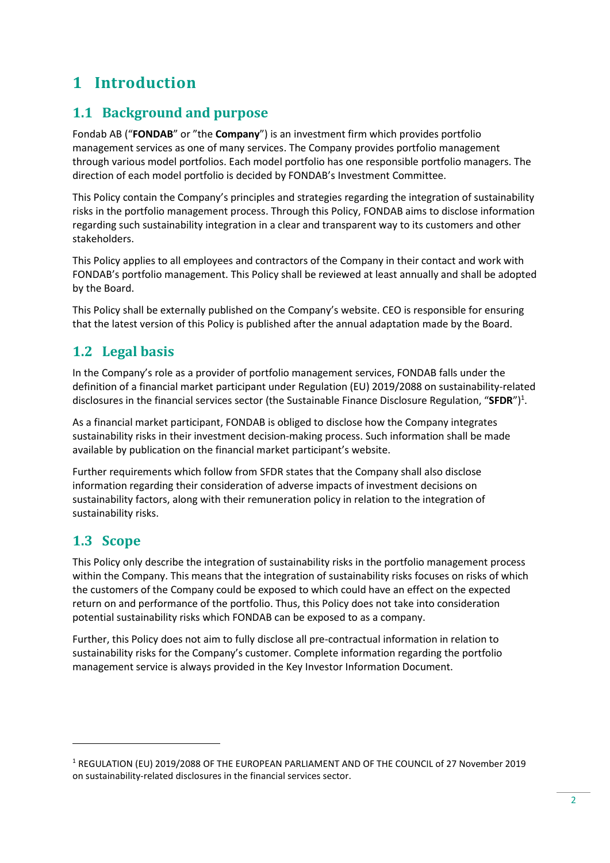# <span id="page-3-0"></span>**1 Introduction**

# <span id="page-3-1"></span>**1.1 Background and purpose**

Fondab AB ("**FONDAB**" or "the **Company**") is an investment firm which provides portfolio management services as one of many services. The Company provides portfolio management through various model portfolios. Each model portfolio has one responsible portfolio managers. The direction of each model portfolio is decided by FONDAB's Investment Committee.

This Policy contain the Company's principles and strategies regarding the integration of sustainability risks in the portfolio management process. Through this Policy, FONDAB aims to disclose information regarding such sustainability integration in a clear and transparent way to its customers and other stakeholders.

This Policy applies to all employees and contractors of the Company in their contact and work with FONDAB's portfolio management. This Policy shall be reviewed at least annually and shall be adopted by the Board.

This Policy shall be externally published on the Company's website. CEO is responsible for ensuring that the latest version of this Policy is published after the annual adaptation made by the Board.

# <span id="page-3-2"></span>**1.2 Legal basis**

In the Company's role as a provider of portfolio management services, FONDAB falls under the definition of a financial market participant under Regulation (EU) 2019/2088 on sustainability‐related disclosures in the financial services sector (the Sustainable Finance Disclosure Regulation, "SFDR")<sup>1</sup>.

As a financial market participant, FONDAB is obliged to disclose how the Company integrates sustainability risks in their investment decision-making process. Such information shall be made available by publication on the financial market participant's website.

Further requirements which follow from SFDR states that the Company shall also disclose information regarding their consideration of adverse impacts of investment decisions on sustainability factors, along with their remuneration policy in relation to the integration of sustainability risks.

# <span id="page-3-3"></span>**1.3 Scope**

This Policy only describe the integration of sustainability risks in the portfolio management process within the Company. This means that the integration of sustainability risks focuses on risks of which the customers of the Company could be exposed to which could have an effect on the expected return on and performance of the portfolio. Thus, this Policy does not take into consideration potential sustainability risks which FONDAB can be exposed to as a company.

Further, this Policy does not aim to fully disclose all pre-contractual information in relation to sustainability risks for the Company's customer. Complete information regarding the portfolio management service is always provided in the Key Investor Information Document.

<sup>1</sup> REGULATION (EU) 2019/2088 OF THE EUROPEAN PARLIAMENT AND OF THE COUNCIL of 27 November 2019 on sustainability‐related disclosures in the financial services sector.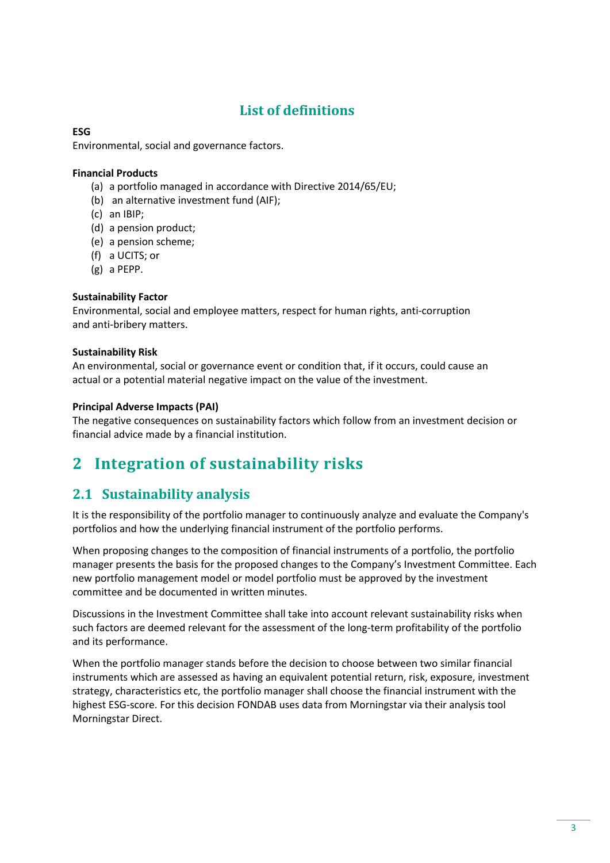# **List of definitions**

#### <span id="page-4-0"></span>**ESG**

Environmental, social and governance factors.

#### **Financial Products**

- (a) a portfolio managed in accordance with Directive 2014/65/EU;
- (b) an alternative investment fund (AIF);
- (c) an IBIP;
- (d) a pension product;
- (e) a pension scheme;
- (f) a UCITS; or
- (g) a PEPP.

#### **Sustainability Factor**

Environmental, social and employee matters, respect for human rights, anti‐corruption and anti‐bribery matters.

#### **Sustainability Risk**

An environmental, social or governance event or condition that, if it occurs, could cause an actual or a potential material negative impact on the value of the investment.

#### **Principal Adverse Impacts (PAI)**

The negative consequences on sustainability factors which follow from an investment decision or financial advice made by a financial institution.

# <span id="page-4-1"></span>**2 Integration of sustainability risks**

### <span id="page-4-2"></span>**2.1 Sustainability analysis**

It is the responsibility of the portfolio manager to continuously analyze and evaluate the Company's portfolios and how the underlying financial instrument of the portfolio performs.

When proposing changes to the composition of financial instruments of a portfolio, the portfolio manager presents the basis for the proposed changes to the Company's Investment Committee. Each new portfolio management model or model portfolio must be approved by the investment committee and be documented in written minutes.

Discussions in the Investment Committee shall take into account relevant sustainability risks when such factors are deemed relevant for the assessment of the long-term profitability of the portfolio and its performance.

When the portfolio manager stands before the decision to choose between two similar financial instruments which are assessed as having an equivalent potential return, risk, exposure, investment strategy, characteristics etc, the portfolio manager shall choose the financial instrument with the highest ESG-score. For this decision FONDAB uses data from Morningstar via their analysis tool Morningstar Direct.